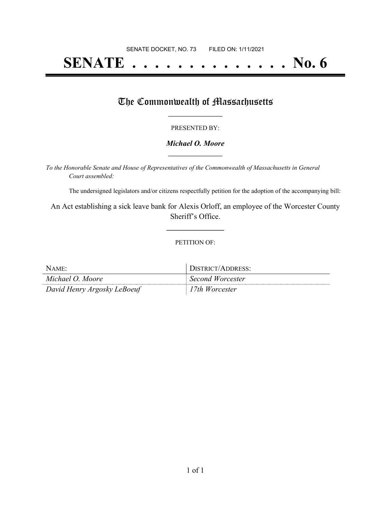# **SENATE . . . . . . . . . . . . . . No. 6**

## The Commonwealth of Massachusetts

#### PRESENTED BY:

#### *Michael O. Moore* **\_\_\_\_\_\_\_\_\_\_\_\_\_\_\_\_\_**

*To the Honorable Senate and House of Representatives of the Commonwealth of Massachusetts in General Court assembled:*

The undersigned legislators and/or citizens respectfully petition for the adoption of the accompanying bill:

An Act establishing a sick leave bank for Alexis Orloff, an employee of the Worcester County Sheriff's Office.

**\_\_\_\_\_\_\_\_\_\_\_\_\_\_\_**

#### PETITION OF:

| NAME:                       | DISTRICT/ADDRESS: |
|-----------------------------|-------------------|
| Michael O. Moore            | Second Worcester  |
| David Henry Argosky LeBoeuf | 17th Worcester    |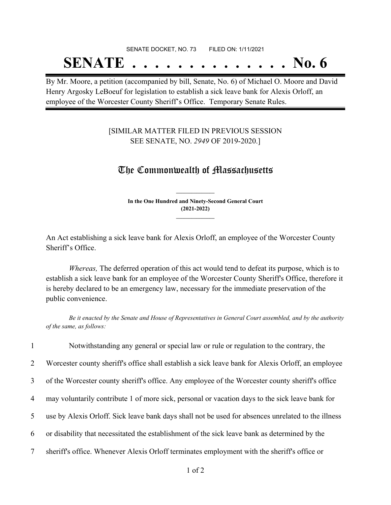# SENATE DOCKET, NO. 73 FILED ON: 1/11/2021 **SENATE . . . . . . . . . . . . . . No. 6**

By Mr. Moore, a petition (accompanied by bill, Senate, No. 6) of Michael O. Moore and David Henry Argosky LeBoeuf for legislation to establish a sick leave bank for Alexis Orloff, an employee of the Worcester County Sheriff's Office. Temporary Senate Rules.

### [SIMILAR MATTER FILED IN PREVIOUS SESSION SEE SENATE, NO. *2949* OF 2019-2020.]

# The Commonwealth of Massachusetts

**In the One Hundred and Ninety-Second General Court (2021-2022) \_\_\_\_\_\_\_\_\_\_\_\_\_\_\_**

**\_\_\_\_\_\_\_\_\_\_\_\_\_\_\_**

An Act establishing a sick leave bank for Alexis Orloff, an employee of the Worcester County Sheriff's Office.

*Whereas,* The deferred operation of this act would tend to defeat its purpose, which is to establish a sick leave bank for an employee of the Worcester County Sheriff's Office, therefore it is hereby declared to be an emergency law, necessary for the immediate preservation of the public convenience.

Be it enacted by the Senate and House of Representatives in General Court assembled, and by the authority *of the same, as follows:*

1 Notwithstanding any general or special law or rule or regulation to the contrary, the

2 Worcester county sheriff's office shall establish a sick leave bank for Alexis Orloff, an employee

3 of the Worcester county sheriff's office. Any employee of the Worcester county sheriff's office

4 may voluntarily contribute 1 of more sick, personal or vacation days to the sick leave bank for

5 use by Alexis Orloff. Sick leave bank days shall not be used for absences unrelated to the illness

6 or disability that necessitated the establishment of the sick leave bank as determined by the

7 sheriff's office. Whenever Alexis Orloff terminates employment with the sheriff's office or